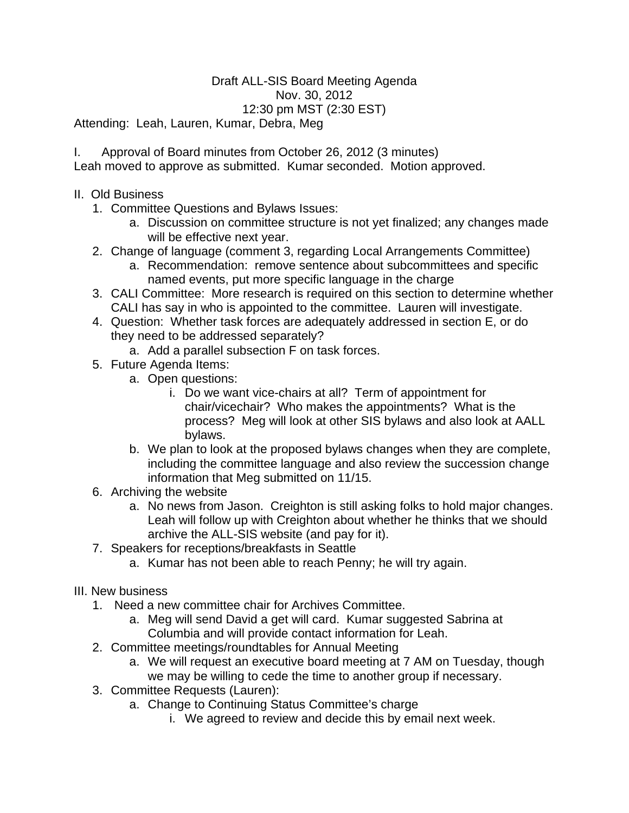## Draft ALL-SIS Board Meeting Agenda Nov. 30, 2012 12:30 pm MST (2:30 EST)

Attending: Leah, Lauren, Kumar, Debra, Meg

- I. Approval of Board minutes from October 26, 2012 (3 minutes) Leah moved to approve as submitted. Kumar seconded. Motion approved.
- II. Old Business
	- 1. Committee Questions and Bylaws Issues:
		- a. Discussion on committee structure is not yet finalized; any changes made will be effective next year.
	- 2. Change of language (comment 3, regarding Local Arrangements Committee)
		- a. Recommendation: remove sentence about subcommittees and specific named events, put more specific language in the charge
	- 3. CALI Committee: More research is required on this section to determine whether CALI has say in who is appointed to the committee. Lauren will investigate.
	- 4. Question: Whether task forces are adequately addressed in section E, or do they need to be addressed separately?
		- a. Add a parallel subsection F on task forces.
	- 5. Future Agenda Items:
		- a. Open questions:
			- i. Do we want vice-chairs at all? Term of appointment for chair/vicechair? Who makes the appointments? What is the process? Meg will look at other SIS bylaws and also look at AALL bylaws.
		- b. We plan to look at the proposed bylaws changes when they are complete, including the committee language and also review the succession change information that Meg submitted on 11/15.
	- 6. Archiving the website
		- a. No news from Jason. Creighton is still asking folks to hold major changes. Leah will follow up with Creighton about whether he thinks that we should archive the ALL-SIS website (and pay for it).
	- 7. Speakers for receptions/breakfasts in Seattle
		- a. Kumar has not been able to reach Penny; he will try again.
- III. New business
	- 1. Need a new committee chair for Archives Committee.
		- a. Meg will send David a get will card. Kumar suggested Sabrina at Columbia and will provide contact information for Leah.
	- 2. Committee meetings/roundtables for Annual Meeting
		- a. We will request an executive board meeting at 7 AM on Tuesday, though we may be willing to cede the time to another group if necessary.
	- 3. Committee Requests (Lauren):
		- a. Change to Continuing Status Committee's charge
			- i. We agreed to review and decide this by email next week.